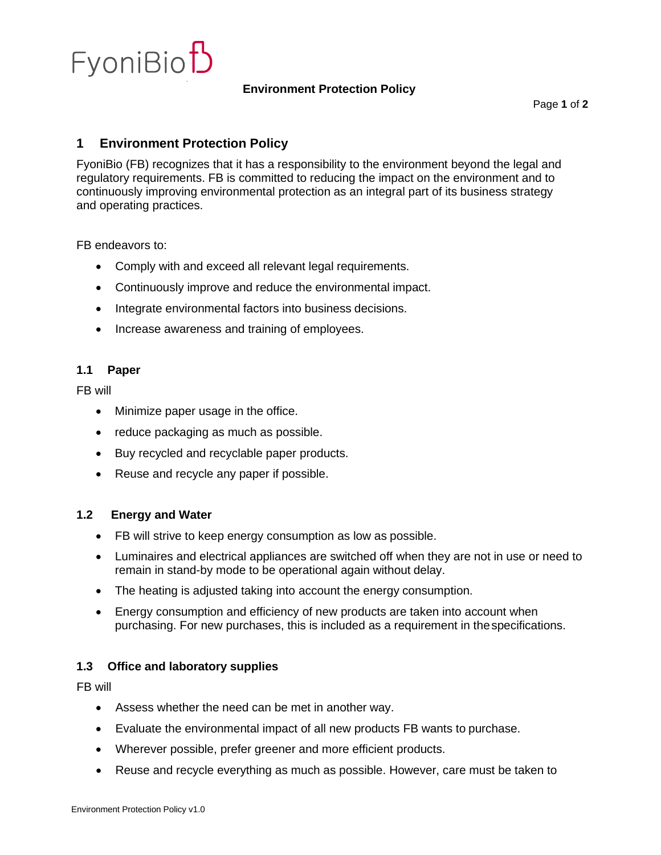

#### **Environment Protection Policy**

# **1 Environment Protection Policy**

FyoniBio (FB) recognizes that it has a responsibility to the environment beyond the legal and regulatory requirements. FB is committed to reducing the impact on the environment and to continuously improving environmental protection as an integral part of its business strategy and operating practices.

FB endeavors to:

- Comply with and exceed all relevant legal requirements.
- Continuously improve and reduce the environmental impact.
- Integrate environmental factors into business decisions.
- Increase awareness and training of employees.

#### **1.1 Paper**

FB will

- Minimize paper usage in the office.
- reduce packaging as much as possible.
- Buy recycled and recyclable paper products.
- Reuse and recycle any paper if possible.

#### **1.2 Energy and Water**

- FB will strive to keep energy consumption as low as possible.
- Luminaires and electrical appliances are switched off when they are not in use or need to remain in stand-by mode to be operational again without delay.
- The heating is adjusted taking into account the energy consumption.
- Energy consumption and efficiency of new products are taken into account when purchasing. For new purchases, this is included as a requirement in thespecifications.

# **1.3 Office and laboratory supplies**

FB will

- Assess whether the need can be met in another way.
- Evaluate the environmental impact of all new products FB wants to purchase.
- Wherever possible, prefer greener and more efficient products.
- Reuse and recycle everything as much as possible. However, care must be taken to